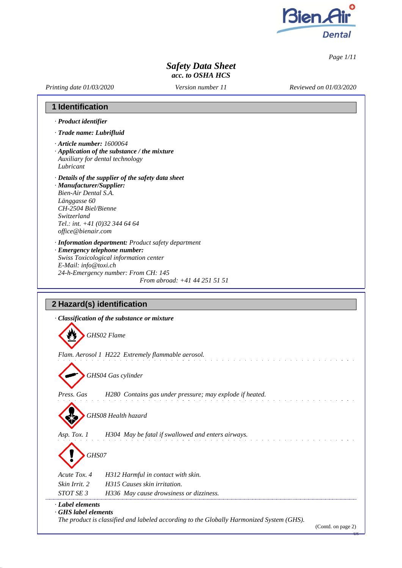

*Page 1/11*

US

### *Safety Data Sheet acc. to OSHA HCS*

*Printing date 01/03/2020*

*Version number 11*

*Reviewed on 01/03/2020*

### **1 Identification**

- *· Product identifier*
- *· Trade name: Lubrifluid*
- *· Article number: 1600064*
- *· Application of the substance / the mixture Auxiliary for dental technology*
- *Lubricant*
- *· Details of the supplier of the safety data sheet*
- *· Manufacturer/Supplier: Bien-Air Dental S.A. Länggasse 60 CH-2504 Biel/Bienne Switzerland Tel.: int. +41 (0)32 344 64 64 [office@bienair.com](mailto:office@bienair.com)*
- *· Information department: Product safety department*
- *· Emergency telephone number: Swiss Toxicological information center E-Mail: [info@toxi.ch](mailto:info@toxi.ch) 24-h-Emergency number: From CH: 145 From abroad: +41 44 251 51 51*

### **2 Hazard(s) identification**

|                                        | · Classification of the substance or mixture                                                                   |
|----------------------------------------|----------------------------------------------------------------------------------------------------------------|
|                                        | GHS02 Flame                                                                                                    |
|                                        | Flam. Aerosol 1 H222 Extremely flammable aerosol.                                                              |
|                                        | GHS04 Gas cylinder                                                                                             |
| Press. Gas                             | H280 Contains gas under pressure; may explode if heated.                                                       |
|                                        | GHS08 Health hazard                                                                                            |
| Asp. Tox. 1                            | H304 May be fatal if swallowed and enters airways.                                                             |
| GHS07                                  |                                                                                                                |
| Acute Tox. 4                           | H312 Harmful in contact with skin.                                                                             |
| Skin Irrit. 2                          | H315 Causes skin irritation.                                                                                   |
| STOT SE 3                              | H336 May cause drowsiness or dizziness.                                                                        |
| · Label elements<br>GHS label elements | The product is classified and labeled according to the Globally Harmonized System (GHS).<br>(Contd. on page 2) |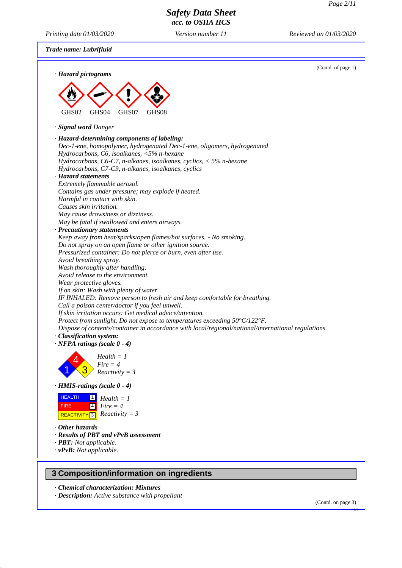*Printing date 01/03/2020 Version number 11 Reviewed on 01/03/2020*

*Trade name: Lubrifluid*



*· Chemical characterization: Mixtures*

*· Description: Active substance with propellant*

(Contd. on page 3)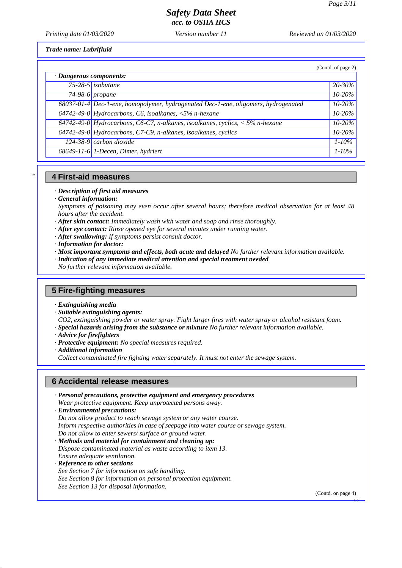*Printing date 01/03/2020 Version number 11 Reviewed on 01/03/2020*

*Trade name: Lubrifluid*

|                         |                                                                                    | (Contd. of page 2) |
|-------------------------|------------------------------------------------------------------------------------|--------------------|
| · Dangerous components: |                                                                                    |                    |
|                         | $75-28-5$ isobutane                                                                | 20-30%             |
|                         | $74-98-6$ propane                                                                  | 10-20%             |
|                         | 68037-01-4 Dec-1-ene, homopolymer, hydrogenated Dec-1-ene, oligomers, hydrogenated | $10 - 20\%$        |
|                         | 64742-49-0 Hydrocarbons, C6, isoalkanes, $\langle 5\% \text{ n-}h$ exane           | $10 - 20%$         |
|                         | 64742-49-0 Hydrocarbons, C6-C7, n-alkanes, isoalkanes, cyclics, $\lt 5\%$ n-hexane | $10 - 20%$         |
|                         | 64742-49-0 Hydrocarbons, C7-C9, n-alkanes, isoalkanes, cyclics                     | 10-20%             |
|                         | $124-38-9$ carbon dioxide                                                          | $1 - 10\%$         |
|                         | 68649-11-6 1-Decen, Dimer, hydriert                                                | $1 - 10\%$         |

#### **4 First-aid measures**

*· Description of first aid measures*

*· General information:*

*\**

- *Symptoms of poisoning may even occur after several hours; therefore medical observation for at least 48 hours after the accident.*
- *· After skin contact: Immediately wash with water and soap and rinse thoroughly.*
- *· After eye contact: Rinse opened eye for several minutes under running water.*
- *· After swallowing: If symptoms persist consult doctor.*
- *· Information for doctor:*
- *· Most important symptoms and effects, both acute and delayed No further relevant information available.*
- *· Indication of any immediate medical attention and special treatment needed*

*No further relevant information available.*

#### **5 Fire-fighting measures**

- *· Extinguishing media*
- *· Suitable extinguishing agents:*
- *CO2, extinguishing powder or water spray. Fight larger fires with water spray or alcohol resistant foam.*
- *· Special hazards arising from the substance or mixture No further relevant information available.*
- *· Advice for firefighters*
- *· Protective equipment: No special measures required.*
- *· Additional information*

*Collect contaminated fire fighting water separately. It must not enter the sewage system.*

### **6 Accidental release measures**

- *· Personal precautions, protective equipment and emergency procedures Wear protective equipment. Keep unprotected persons away.*
- *· Environmental precautions:*
- *Do not allow product to reach sewage system or any water course.*
- *Inform respective authorities in case of seepage into water course or sewage system.*

*Do not allow to enter sewers/ surface or ground water.*

- *· Methods and material for containment and cleaning up: Dispose contaminated material as waste according to item 13.*
- *Ensure adequate ventilation.*
- *· Reference to other sections*
- *See Section 7 for information on safe handling.*
- *See Section 8 for information on personal protection equipment.*

*See Section 13 for disposal information.*

(Contd. on page 4)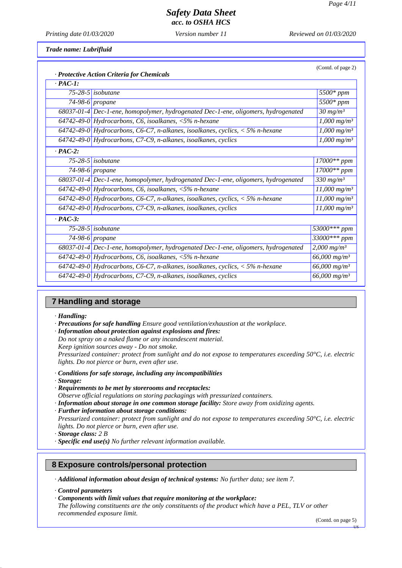(Contd. of page 2)

# *Safety Data Sheet*

*acc. to OSHA HCS*

*Printing date 01/03/2020 Version number 11 Reviewed on 01/03/2020*

*Trade name: Lubrifluid*

|                | · Protective Action Criteria for Chemicals                                         |                            |
|----------------|------------------------------------------------------------------------------------|----------------------------|
| $\cdot$ PAC-1: |                                                                                    |                            |
|                | $75-28-5$ isobutane                                                                | 5500* ppm                  |
|                | 74-98-6 propane                                                                    | $5500*$ ppm                |
|                | 68037-01-4 Dec-1-ene, homopolymer, hydrogenated Dec-1-ene, oligomers, hydrogenated | $30 \; mg/m^3$             |
|                | 64742-49-0 Hydrocarbons, C6, isoalkanes, $\langle 5\% \rangle$ n-hexane            | $1,000$ mg/m <sup>3</sup>  |
|                | 64742-49-0 Hydrocarbons, C6-C7, n-alkanes, isoalkanes, cyclics, $<$ 5% n-hexane    | $1,000 \; mg/m^3$          |
|                | 64742-49-0 Hydrocarbons, C7-C9, n-alkanes, isoalkanes, cyclics                     | $1,000 \; mg/m^3$          |
| $PAC-2$ :      |                                                                                    |                            |
|                | 75-28-5 isobutane                                                                  | $17000**$ ppm              |
|                | 74-98-6 propane                                                                    | $17000**$ ppm              |
|                | 68037-01-4 Dec-1-ene, homopolymer, hydrogenated Dec-1-ene, oligomers, hydrogenated | 330 mg/ $m^3$              |
|                | 64742-49-0 Hydrocarbons, C6, isoalkanes, $\langle 5\% \text{ n-}h$ exane           | $11,000$ mg/m <sup>3</sup> |
|                | 64742-49-0 Hydrocarbons, C6-C7, n-alkanes, isoalkanes, cyclics, $<$ 5% n-hexane    | $11,000$ mg/m <sup>3</sup> |
|                | 64742-49-0 Hydrocarbons, C7-C9, n-alkanes, isoalkanes, cyclics                     | $11,000 \; mg/m^3$         |
| $PAC-3$ :      |                                                                                    |                            |
|                | 75-28-5 isobutane                                                                  | 53000*** ppm               |
|                | 74-98-6 propane                                                                    | 33000*** ppm               |
|                | 68037-01-4 Dec-1-ene, homopolymer, hydrogenated Dec-1-ene, oligomers, hydrogenated | $2,000$ mg/m <sup>3</sup>  |
|                | 64742-49-0 Hydrocarbons, C6, isoalkanes, $\langle 5\% \text{ n-}h$ exane           | $66,000$ mg/m <sup>3</sup> |
|                | 64742-49-0 Hydrocarbons, C6-C7, n-alkanes, isoalkanes, cyclics, $<$ 5% n-hexane    | $66,000$ mg/m <sup>3</sup> |
|                | $64742-49-0$ Hydrocarbons, C7-C9, n-alkanes, isoalkanes, cyclics                   | $66,000$ mg/m <sup>3</sup> |

#### **7 Handling and storage**

*· Handling:*

- *· Precautions for safe handling Ensure good ventilation/exhaustion at the workplace.*
- *· Information about protection against explosions and fires:*
- *Do not spray on a naked flame or any incandescent material.*
- *Keep ignition sources away - Do not smoke.*

*Pressurized container: protect from sunlight and do not expose to temperatures exceeding 50°C, i.e. electric lights. Do not pierce or burn, even after use.*

- *· Conditions for safe storage, including any incompatibilities*
- *· Storage:*
- *· Requirements to be met by storerooms and receptacles:*

*Observe official regulations on storing packagings with pressurized containers.*

*· Information about storage in one common storage facility: Store away from oxidizing agents.*

*· Further information about storage conditions:*

*Pressurized container: protect from sunlight and do not expose to temperatures exceeding 50°C, i.e. electric lights. Do not pierce or burn, even after use.*

- *· Storage class: 2 B*
- *· Specific end use(s) No further relevant information available.*

### **8 Exposure controls/personal protection**

*· Additional information about design of technical systems: No further data; see item 7.*

*· Control parameters*

*· Components with limit values that require monitoring at the workplace:*

*The following constituents are the only constituents of the product which have a PEL, TLV or other recommended exposure limit.*

(Contd. on page 5)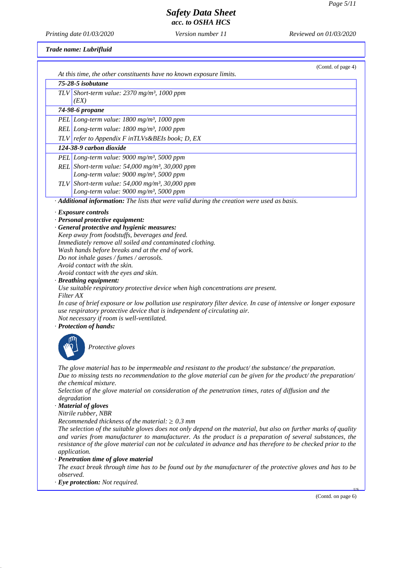## *Safety Data Sheet*

*acc. to OSHA HCS*

*Printing date 01/03/2020 Version number 11 Reviewed on 01/03/2020*

### *Trade name: Lubrifluid*

| At this time, the other constituents have no known exposure limits.                                                                                                                                                         | (Contd. of page 4) |
|-----------------------------------------------------------------------------------------------------------------------------------------------------------------------------------------------------------------------------|--------------------|
| 75-28-5 isobutane                                                                                                                                                                                                           |                    |
| TLV Short-term value: $2370$ mg/m <sup>3</sup> , 1000 ppm                                                                                                                                                                   |                    |
| (EX)                                                                                                                                                                                                                        |                    |
| 74-98-6 propane                                                                                                                                                                                                             |                    |
| PEL Long-term value: 1800 mg/m <sup>3</sup> , 1000 ppm                                                                                                                                                                      |                    |
| REL Long-term value: 1800 mg/m <sup>3</sup> , 1000 ppm                                                                                                                                                                      |                    |
| TLV refer to Appendix F inTLVs&BEIs book; D, EX                                                                                                                                                                             |                    |
| 124-38-9 carbon dioxide                                                                                                                                                                                                     |                    |
| PEL Long-term value: 9000 mg/m <sup>3</sup> , 5000 ppm                                                                                                                                                                      |                    |
| REL Short-term value: $54,000$ mg/m <sup>3</sup> , 30,000 ppm                                                                                                                                                               |                    |
| Long-term value: 9000 mg/m <sup>3</sup> , 5000 ppm                                                                                                                                                                          |                    |
| TLV Short-term value: 54,000 mg/m <sup>3</sup> , 30,000 ppm                                                                                                                                                                 |                    |
| Long-term value: 9000 mg/m <sup>3</sup> , 5000 ppm                                                                                                                                                                          |                    |
| · Additional information: The lists that were valid during the creation were used as basis.                                                                                                                                 |                    |
| · Exposure controls                                                                                                                                                                                                         |                    |
| · Personal protective equipment:                                                                                                                                                                                            |                    |
| · General protective and hygienic measures:                                                                                                                                                                                 |                    |
| Keep away from foodstuffs, beverages and feed.<br>Immediately remove all soiled and contaminated clothing.                                                                                                                  |                    |
| Wash hands before breaks and at the end of work.                                                                                                                                                                            |                    |
| Do not inhale gases / fumes / aerosols.                                                                                                                                                                                     |                    |
| Avoid contact with the skin.                                                                                                                                                                                                |                    |
| Avoid contact with the eyes and skin.                                                                                                                                                                                       |                    |
| · Breathing equipment:<br>Use suitable respiratory protective device when high concentrations are present.                                                                                                                  |                    |
| Filter AX                                                                                                                                                                                                                   |                    |
| In case of brief exposure or low pollution use respiratory filter device. In case of intensive or longer exposure                                                                                                           |                    |
| use respiratory protective device that is independent of circulating air.                                                                                                                                                   |                    |
| Not necessary if room is well-ventilated.<br>· Protection of hands:                                                                                                                                                         |                    |
|                                                                                                                                                                                                                             |                    |
|                                                                                                                                                                                                                             |                    |
| Protective gloves                                                                                                                                                                                                           |                    |
|                                                                                                                                                                                                                             |                    |
| The glove material has to be impermeable and resistant to the product/ the substance/ the preparation.                                                                                                                      |                    |
| Due to missing tests no recommendation to the glove material can be given for the product/ the preparation/                                                                                                                 |                    |
| the chemical mixture.<br>Selection of the glove material on consideration of the penetration times, rates of diffusion and the                                                                                              |                    |
| degradation                                                                                                                                                                                                                 |                    |
| · Material of gloves                                                                                                                                                                                                        |                    |
| Nitrile rubber, NBR                                                                                                                                                                                                         |                    |
| Recommended thickness of the material: $\geq 0.3$ mm                                                                                                                                                                        |                    |
| The selection of the suitable gloves does not only depend on the material, but also on further marks of quality<br>and varies from manufacturer to manufacturer. As the product is a preparation of several substances, the |                    |
| resistance of the glove material can not be calculated in advance and has therefore to be checked prior to the                                                                                                              |                    |
| application.                                                                                                                                                                                                                |                    |
| · Penetration time of glove material                                                                                                                                                                                        |                    |
| The exact break through time has to be found out by the manufacturer of the protective gloves and has to be<br>observed.                                                                                                    |                    |
| · Eye protection: Not required.                                                                                                                                                                                             |                    |
|                                                                                                                                                                                                                             |                    |
|                                                                                                                                                                                                                             | (Contd. on page 6) |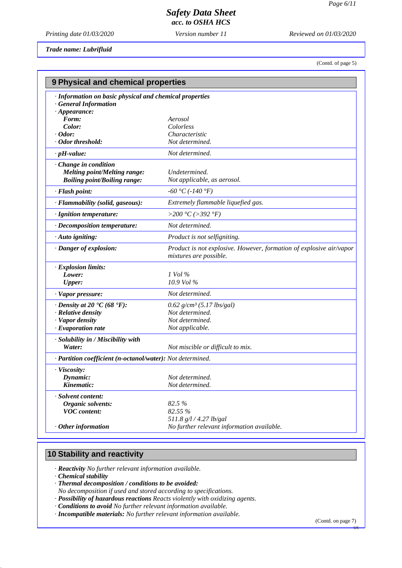*Printing date 01/03/2020 Version number 11 Reviewed on 01/03/2020*

*Trade name: Lubrifluid*

(Contd. of page 5)

| 9 Physical and chemical properties                                                                    |                                                                                               |  |
|-------------------------------------------------------------------------------------------------------|-----------------------------------------------------------------------------------------------|--|
| · Information on basic physical and chemical properties<br>General Information<br>$\cdot$ Appearance: |                                                                                               |  |
| Form:                                                                                                 | Aerosol                                                                                       |  |
| Color:                                                                                                | Colorless                                                                                     |  |
| $\cdot$ Odor:                                                                                         | Characteristic                                                                                |  |
| · Odor threshold:                                                                                     | Not determined.                                                                               |  |
| $\cdot$ pH-value:                                                                                     | Not determined.                                                                               |  |
| Change in condition<br><b>Melting point/Melting range:</b><br><b>Boiling point/Boiling range:</b>     | Undetermined.<br>Not applicable, as aerosol.                                                  |  |
| · Flash point:                                                                                        | $-60 °C (-140 °F)$                                                                            |  |
| · Flammability (solid, gaseous):                                                                      | Extremely flammable liquefied gas.                                                            |  |
| · Ignition temperature:                                                                               | >200 °C (>392 °F)                                                                             |  |
| · Decomposition temperature:                                                                          | Not determined.                                                                               |  |
| · Auto igniting:                                                                                      | Product is not selfigniting.                                                                  |  |
| · Danger of explosion:                                                                                | Product is not explosive. However, formation of explosive air/vapor<br>mixtures are possible. |  |
| · Explosion limits:                                                                                   |                                                                                               |  |
| Lower:                                                                                                | $1$ Vol $\%$                                                                                  |  |
| <b>Upper:</b>                                                                                         | 10.9 Vol %                                                                                    |  |
| · Vapor pressure:                                                                                     | Not determined.                                                                               |  |
| $\cdot$ Density at 20 $\cdot$ C (68 $\cdot$ F):                                                       | $0.62$ g/cm <sup>3</sup> (5.17 lbs/gal)                                                       |  |
| · Relative density                                                                                    | Not determined.                                                                               |  |
| · Vapor density                                                                                       | Not determined.                                                                               |  |
| $\cdot$ Evaporation rate                                                                              | Not applicable.                                                                               |  |
| · Solubility in / Miscibility with<br>Water:                                                          | Not miscible or difficult to mix.                                                             |  |
| · Partition coefficient (n-octanol/water): Not determined.                                            |                                                                                               |  |
| · Viscosity:                                                                                          |                                                                                               |  |
| Dynamic:                                                                                              | Not determined.                                                                               |  |
| Kinematic:                                                                                            | Not determined.                                                                               |  |
| · Solvent content:                                                                                    |                                                                                               |  |
| Organic solvents:                                                                                     | 82.5 %                                                                                        |  |
| <b>VOC</b> content:                                                                                   | 82.55 %                                                                                       |  |
|                                                                                                       | 511.8 g/l / 4.27 lb/gal                                                                       |  |
| $·$ Other information                                                                                 | No further relevant information available.                                                    |  |

### **10 Stability and reactivity**

*· Reactivity No further relevant information available.*

*· Chemical stability*

- *· Thermal decomposition / conditions to be avoided:*
- *No decomposition if used and stored according to specifications.*
- *· Possibility of hazardous reactions Reacts violently with oxidizing agents.*
- *· Conditions to avoid No further relevant information available.*
- *· Incompatible materials: No further relevant information available.*

(Contd. on page 7)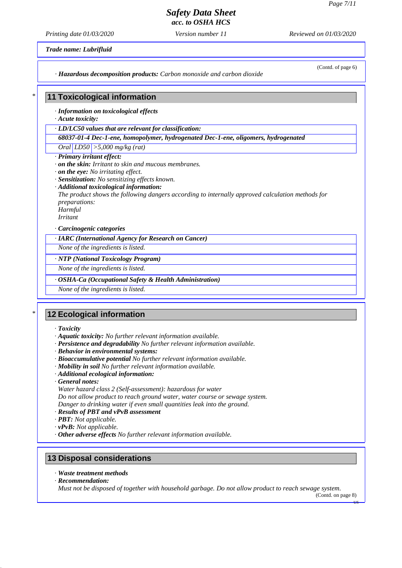# *Safety Data Sheet*

*acc. to OSHA HCS*

*Printing date 01/03/2020 Version number 11 Reviewed on 01/03/2020*

*Trade name: Lubrifluid*

(Contd. of page 6)

*· Hazardous decomposition products: Carbon monoxide and carbon dioxide*

### **11 Toxicological information**

*· Information on toxicological effects*

*· Acute toxicity:*

*\**

*· LD/LC50 values that are relevant for classification:*

*68037-01-4 Dec-1-ene, homopolymer, hydrogenated Dec-1-ene, oligomers, hydrogenated*

*Oral LD50 >5,000 mg/kg (rat)*

- *· Primary irritant effect:*
- *· on the skin: Irritant to skin and mucous membranes.*
- *· on the eye: No irritating effect.*
- *· Sensitization: No sensitizing effects known.*
- *· Additional toxicological information:*

*The product shows the following dangers according to internally approved calculation methods for preparations:*

*Harmful*

*Irritant*

*· Carcinogenic categories*

*· IARC (International Agency for Research on Cancer)*

*None of the ingredients is listed.*

*· NTP (National Toxicology Program)*

*None of the ingredients is listed.*

#### *· OSHA-Ca (Occupational Safety & Health Administration)*

*None of the ingredients is listed.*

### **12 Ecological information**

*· Toxicity*

*\**

- *· Aquatic toxicity: No further relevant information available.*
- *· Persistence and degradability No further relevant information available.*
- *· Behavior in environmental systems:*
- *· Bioaccumulative potential No further relevant information available.*
- *· Mobility in soil No further relevant information available.*
- *· Additional ecological information:*
- *· General notes:*
- *Water hazard class 2 (Self-assessment): hazardous for water*

*Do not allow product to reach ground water, water course or sewage system.*

*Danger to drinking water if even small quantities leak into the ground.*

- *· Results of PBT and vPvB assessment*
- *· PBT: Not applicable.*
- *· vPvB: Not applicable.*
- *· Other adverse effects No further relevant information available.*

### **13 Disposal considerations**

- *· Waste treatment methods*
- *· Recommendation:*

*Must not be disposed of together with household garbage. Do not allow product to reach sewage system.*

(Contd. on page 8)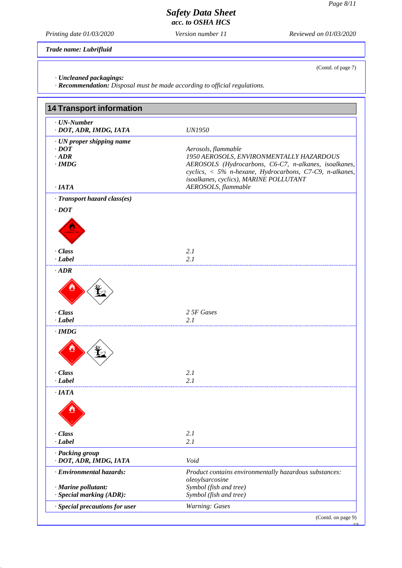(Contd. of page 7)

## *Safety Data Sheet*

*acc. to OSHA HCS*

*Printing date 01/03/2020 Version number 11 Reviewed on 01/03/2020*

*Trade name: Lubrifluid*

*· Uncleaned packagings:*

*· Recommendation: Disposal must be made according to official regulations.*

| <b>14 Transport information</b>                                                         |                                                                                                                                                                                                                                                                       |
|-----------------------------------------------------------------------------------------|-----------------------------------------------------------------------------------------------------------------------------------------------------------------------------------------------------------------------------------------------------------------------|
| $\cdot$ UN-Number<br>· DOT, ADR, IMDG, IATA                                             | <b>UN1950</b>                                                                                                                                                                                                                                                         |
| · UN proper shipping name<br>$\cdot$ DOT<br>$\cdot$ ADR<br>$\cdot$ IMDG<br>$\cdot$ IATA | Aerosols, flammable<br>1950 AEROSOLS, ENVIRONMENTALLY HAZARDOUS<br>AEROSOLS (Hydrocarbons, C6-C7, n-alkanes, isoalkanes,<br>cyclics, $\langle 5\% \rangle$ n-hexane, Hydrocarbons, C7-C9, n-alkanes,<br>isoalkanes, cyclics), MARINE POLLUTANT<br>AEROSOLS, flammable |
|                                                                                         |                                                                                                                                                                                                                                                                       |
| · Transport hazard class(es)<br>$\cdot$ DOT                                             |                                                                                                                                                                                                                                                                       |
| · Class<br>$-Label$                                                                     | 2.1<br>2.1                                                                                                                                                                                                                                                            |
| $\cdot$ ADR                                                                             |                                                                                                                                                                                                                                                                       |
| · Class<br>$-Label$                                                                     | 2 5F Gases<br>2.1                                                                                                                                                                                                                                                     |
| $\cdot$ IMDG                                                                            |                                                                                                                                                                                                                                                                       |
| · Class<br>$\cdot$ <i>Label</i>                                                         | 2.1<br>2.1                                                                                                                                                                                                                                                            |
| $\cdot$ IATA                                                                            |                                                                                                                                                                                                                                                                       |
| · Class                                                                                 | 2.1                                                                                                                                                                                                                                                                   |
| $-Label$                                                                                | 2.1                                                                                                                                                                                                                                                                   |
| · Packing group<br>· DOT, ADR, IMDG, IATA                                               | Void                                                                                                                                                                                                                                                                  |
| · Environmental hazards:<br>· Marine pollutant:                                         | Product contains environmentally hazardous substances:<br>oleoylsarcosine<br>Symbol (fish and tree)                                                                                                                                                                   |
| · Special marking (ADR):                                                                | Symbol (fish and tree)                                                                                                                                                                                                                                                |
| · Special precautions for user                                                          | Warning: Gases                                                                                                                                                                                                                                                        |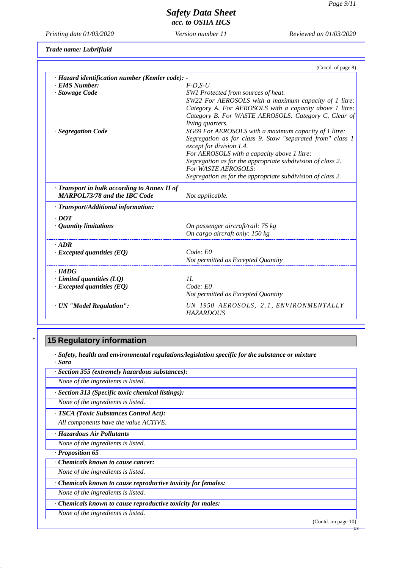*Printing date 01/03/2020 Version number 11 Reviewed on 01/03/2020*

*Trade name: Lubrifluid*

|                                                 | (Contd. of page 8)                                                                    |
|-------------------------------------------------|---------------------------------------------------------------------------------------|
| · Hazard identification number (Kemler code): - |                                                                                       |
| · EMS Number:                                   | $F$ -D,S-U                                                                            |
| · Stowage Code                                  | SW1 Protected from sources of heat.                                                   |
|                                                 | SW22 For AEROSOLS with a maximum capacity of 1 litre:                                 |
|                                                 | Category A. For AEROSOLS with a capacity above 1 litre:                               |
|                                                 | Category B. For WASTE AEROSOLS: Category C, Clear of                                  |
|                                                 | living quarters.                                                                      |
| · Segregation Code                              | SG69 For AEROSOLS with a maximum capacity of 1 litre:                                 |
|                                                 | Segregation as for class 9. Stow "separated from" class 1<br>except for division 1.4. |
|                                                 | For AEROSOLS with a capacity above 1 litre:                                           |
|                                                 | Segregation as for the appropriate subdivision of class 2.                            |
|                                                 | For WASTE AEROSOLS:                                                                   |
|                                                 | Segregation as for the appropriate subdivision of class 2.                            |
| · Transport in bulk according to Annex II of    |                                                                                       |
| <b>MARPOL73/78 and the IBC Code</b>             | Not applicable.                                                                       |
| · Transport/Additional information:             |                                                                                       |
| $.$ DOT                                         |                                                                                       |
| • Quantity limitations                          | On passenger aircraft/rail: 75 kg                                                     |
|                                                 | On cargo aircraft only: 150 kg                                                        |
| $-ADR$                                          |                                                                                       |
| $\cdot$ Excepted quantities (EQ)                | Code: E0                                                                              |
|                                                 | Not permitted as Excepted Quantity                                                    |
| $\cdot$ IMDG                                    |                                                                                       |
| $\cdot$ Limited quantities (LQ)                 | II.                                                                                   |
| $\cdot$ Excepted quantities (EQ)                | Code: E0                                                                              |
|                                                 | Not permitted as Excepted Quantity                                                    |
| · UN "Model Regulation":                        | UN 1950 AEROSOLS, 2.1, ENVIRONMENTALLY<br><b>HAZARDOUS</b>                            |

## **15 Regulatory information**

*\**

*· Safety, health and environmental regulations/legislation specific for the substance or mixture*

| · Sara                                                        |  |
|---------------------------------------------------------------|--|
| · Section 355 (extremely hazardous substances):               |  |
| None of the ingredients is listed.                            |  |
| · Section 313 (Specific toxic chemical listings):             |  |
| None of the ingredients is listed.                            |  |
| · TSCA (Toxic Substances Control Act):                        |  |
| All components have the value ACTIVE.                         |  |
| · Hazardous Air Pollutants                                    |  |
| None of the ingredients is listed.                            |  |
| $\cdot$ Proposition 65                                        |  |
| Chemicals known to cause cancer:                              |  |
| None of the ingredients is listed.                            |  |
| · Chemicals known to cause reproductive toxicity for females: |  |
| None of the ingredients is listed.                            |  |
| · Chemicals known to cause reproductive toxicity for males:   |  |
| None of the ingredients is listed.                            |  |

(Contd. on page 10)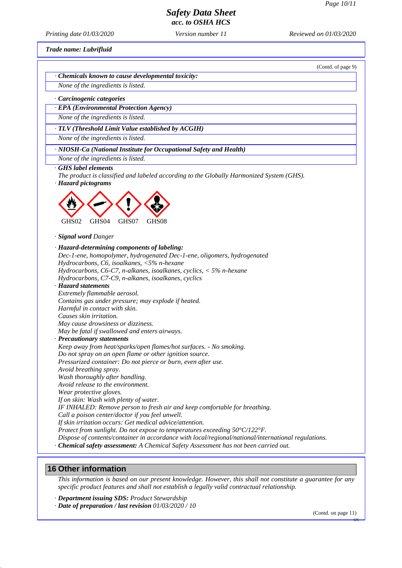## *Safety Data Sheet*

*acc. to OSHA HCS*

*Printing date 01/03/2020 Version number 11 Reviewed on 01/03/2020*

*Trade name: Lubrifluid*

(Contd. of page 9)

*· Chemicals known to cause developmental toxicity: None of the ingredients is listed.*

*· Carcinogenic categories*

*· EPA (Environmental Protection Agency)*

*None of the ingredients is listed.*

*· TLV (Threshold Limit Value established by ACGIH)*

*None of the ingredients is listed.*

*· NIOSH-Ca (National Institute for Occupational Safety and Health)*

*None of the ingredients is listed.*

*· GHS label elements*

*The product is classified and labeled according to the Globally Harmonized System (GHS).*

*· Hazard pictograms*



*· Signal word Danger*

*· Hazard-determining components of labeling:*

*Dec-1-ene, homopolymer, hydrogenated Dec-1-ene, oligomers, hydrogenated Hydrocarbons, C6, isoalkanes, <5% n-hexane*

*Hydrocarbons, C6-C7, n-alkanes, isoalkanes, cyclics, < 5% n-hexane*

*Hydrocarbons, C7-C9, n-alkanes, isoalkanes, cyclics*

*· Hazard statements*

*Extremely flammable aerosol.*

*Contains gas under pressure; may explode if heated.*

*Harmful in contact with skin.*

*Causes skin irritation.*

*May cause drowsiness or dizziness.*

*May be fatal if swallowed and enters airways.*

*· Precautionary statements*

*Keep away from heat/sparks/open flames/hot surfaces. - No smoking. Do not spray on an open flame or other ignition source.*

*Pressurized container: Do not pierce or burn, even after use.*

*Avoid breathing spray.*

*Wash thoroughly after handling.*

*Avoid release to the environment.*

*Wear protective gloves.*

*If on skin: Wash with plenty of water.*

*IF INHALED: Remove person to fresh air and keep comfortable for breathing.*

*Call a poison center/doctor if you feel unwell.*

*If skin irritation occurs: Get medical advice/attention.*

*Protect from sunlight. Do not expose to temperatures exceeding 50°C/122°F.*

*Dispose of contents/container in accordance with local/regional/national/international regulations.*

*· Chemical safety assessment: A Chemical Safety Assessment has not been carried out.*

#### **16 Other information**

This information is based on our present knowledge. However, this shall not constitute a guarantee for any *specific product features and shall not establish a legally valid contractual relationship.*

*· Department issuing SDS: Product Stewardship*

*· Date of preparation / last revision 01/03/2020 / 10*

(Contd. on page 11)